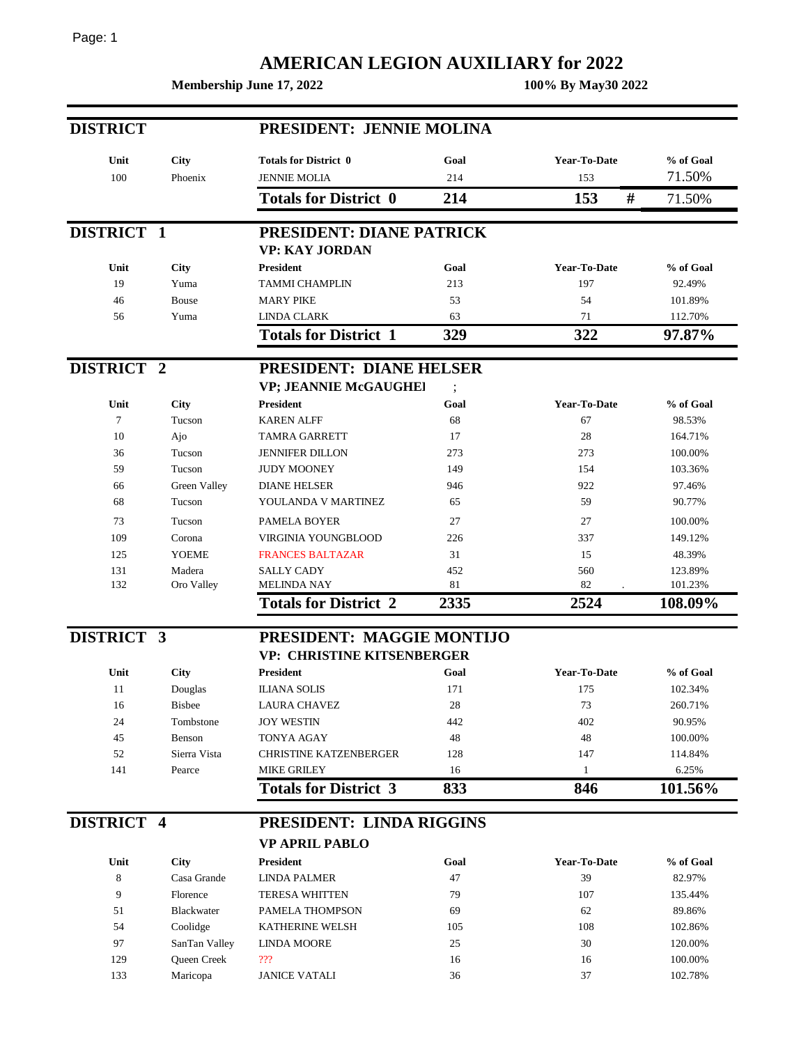## Page: 1

## **AMERICAN LEGION AUXILIARY for 2022**

**Membership June 17, 2022 100% By May30 2022**

| <b>DISTRICT</b> |               | PRESIDENT: JENNIE MOLINA          |          |                     |           |  |  |
|-----------------|---------------|-----------------------------------|----------|---------------------|-----------|--|--|
| Unit            | City          | <b>Totals for District 0</b>      | Goal     | Year-To-Date        | % of Goal |  |  |
| 100             | Phoenix       | <b>JENNIE MOLIA</b>               | 214      | 153                 | 71.50%    |  |  |
|                 |               | <b>Totals for District 0</b>      | 214      | #<br>153            | 71.50%    |  |  |
| DISTRICT 1      |               | PRESIDENT: DIANE PATRICK          |          |                     |           |  |  |
|                 |               | <b>VP: KAY JORDAN</b>             |          |                     |           |  |  |
| Unit            | City          | <b>President</b>                  | Goal     | <b>Year-To-Date</b> | % of Goal |  |  |
| 19              | Yuma          | <b>TAMMI CHAMPLIN</b>             | 213      | 197                 | 92.49%    |  |  |
| 46              | Bouse         | <b>MARY PIKE</b>                  | 53       | 54                  | 101.89%   |  |  |
| 56              | Yuma          | <b>LINDA CLARK</b>                | 63       | 71                  | 112.70%   |  |  |
|                 |               | <b>Totals for District 1</b>      | 329      | 322                 | 97.87%    |  |  |
| DISTRICT 2      |               | PRESIDENT: DIANE HELSER           |          |                     |           |  |  |
|                 |               | VP; JEANNIE McGAUGHEI             | $\vdots$ |                     |           |  |  |
| Unit            | City          | <b>President</b>                  | Goal     | Year-To-Date        | % of Goal |  |  |
| 7               | Tucson        | <b>KAREN ALFF</b>                 | 68       | 67                  | 98.53%    |  |  |
| 10              | Ajo           | TAMRA GARRETT                     | 17       | 28                  | 164.71%   |  |  |
| 36              | Tucson        | <b>JENNIFER DILLON</b>            | 273      | 273                 | 100.00%   |  |  |
| 59              | Tucson        | <b>JUDY MOONEY</b>                | 149      | 154                 | 103.36%   |  |  |
| 66              | Green Valley  | <b>DIANE HELSER</b>               | 946      | 922                 | 97.46%    |  |  |
| 68              | Tucson        | YOULANDA V MARTINEZ               | 65       | 59                  | 90.77%    |  |  |
| 73              | Tucson        | PAMELA BOYER                      | 27       | 27                  | 100.00%   |  |  |
| 109             | Corona        | VIRGINIA YOUNGBLOOD               | 226      | 337                 | 149.12%   |  |  |
| 125             | <b>YOEME</b>  | <b>FRANCES BALTAZAR</b>           | 31       | 15                  | 48.39%    |  |  |
| 131             | Madera        | <b>SALLY CADY</b>                 | 452      | 560                 | 123.89%   |  |  |
| 132             | Oro Valley    | <b>MELINDA NAY</b>                | 81       | 82                  | 101.23%   |  |  |
|                 |               | <b>Totals for District 2</b>      | 2335     | 2524                | 108.09%   |  |  |
| DISTRICT 3      |               | PRESIDENT: MAGGIE MONTIJO         |          |                     |           |  |  |
|                 |               | <b>VP: CHRISTINE KITSENBERGER</b> |          |                     |           |  |  |
| Unit            | <b>City</b>   | <b>President</b>                  | Goal     | Year-To-Date        | % of Goal |  |  |
| 11              | Douglas       | <b>ILIANA SOLIS</b>               | 171      | 175                 | 102.34%   |  |  |
| 16              | <b>Bisbee</b> | LAURA CHAVEZ                      | 28       | 73                  | 260.71%   |  |  |
| 24              | Tombstone     | <b>JOY WESTIN</b>                 | 442      | 402                 | 90.95%    |  |  |
| 45              | Benson        | <b>TONYA AGAY</b>                 | 48       | 48                  | 100.00%   |  |  |
| 52              | Sierra Vista  | <b>CHRISTINE KATZENBERGER</b>     | 128      | 147                 | 114.84%   |  |  |
| 141             | Pearce        | <b>MIKE GRILEY</b>                | 16       | $\mathbf{1}$        | 6.25%     |  |  |
|                 |               | <b>Totals for District 3</b>      | 833      | 846                 | 101.56%   |  |  |
| DISTRICT 4      |               | PRESIDENT: LINDA RIGGINS          |          |                     |           |  |  |
|                 |               | <b>VP APRIL PABLO</b>             |          |                     |           |  |  |
| Unit            | <b>City</b>   | President                         | Goal     | Year-To-Date        | % of Goal |  |  |
| 8               | Casa Grande   | <b>LINDA PALMER</b>               | 47       | 39                  | 82.97%    |  |  |
| 9               | Florence      | <b>TERESA WHITTEN</b>             | 79       | 107                 | 135.44%   |  |  |
| 51              | Blackwater    | PAMELA THOMPSON                   | 69       | 62                  | 89.86%    |  |  |
| 54              | Coolidge      | KATHERINE WELSH                   | 105      | 108                 | 102.86%   |  |  |
| 97              | SanTan Valley | <b>LINDA MOORE</b>                | 25       | 30                  | 120.00%   |  |  |
| 129             | Queen Creek   | 222                               | 16       | 16                  | 100.00%   |  |  |
| 133             | Maricopa      | <b>JANICE VATALI</b>              | 36       | 37                  | 102.78%   |  |  |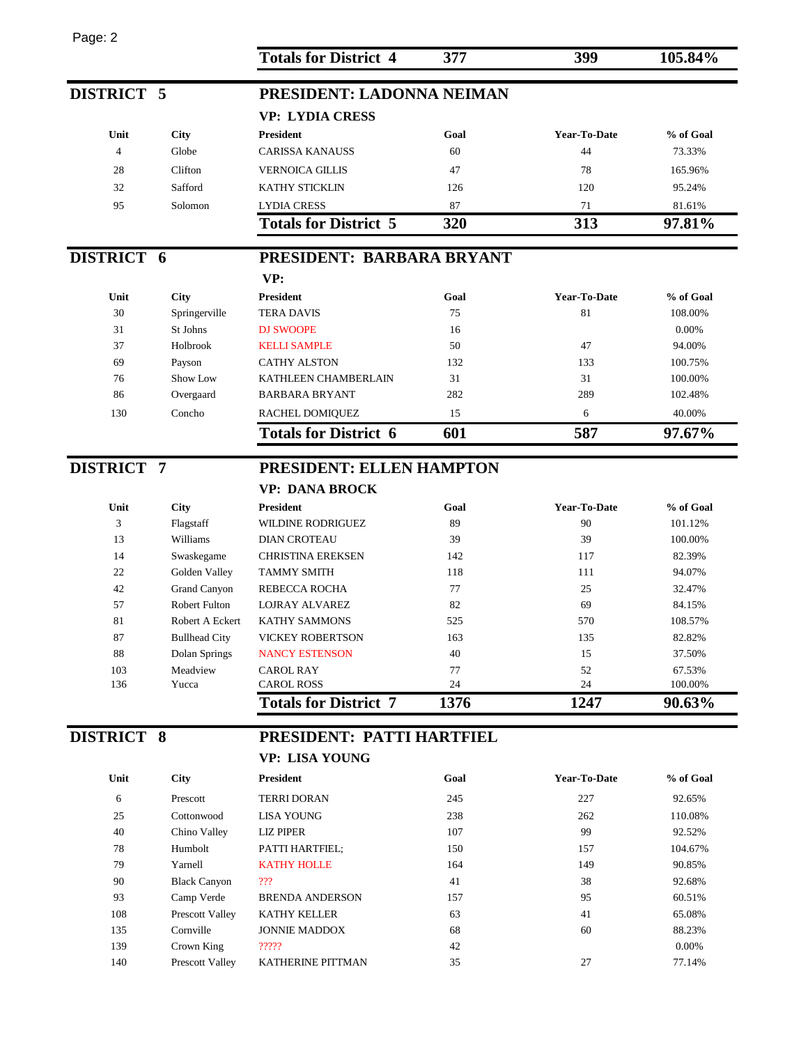| Page: 2           |                      |                              |      |              |           |
|-------------------|----------------------|------------------------------|------|--------------|-----------|
|                   |                      | <b>Totals for District 4</b> | 377  | 399          | 105.84%   |
| DISTRICT 5        |                      | PRESIDENT: LADONNA NEIMAN    |      |              |           |
|                   |                      | <b>VP: LYDIA CRESS</b>       |      |              |           |
| Unit              | City                 | <b>President</b>             | Goal | Year-To-Date | % of Goal |
| $\overline{4}$    | Globe                | <b>CARISSA KANAUSS</b>       | 60   | 44           | 73.33%    |
| 28                | Clifton              | <b>VERNOICA GILLIS</b>       | 47   | 78           | 165.96%   |
| 32                | Safford              | <b>KATHY STICKLIN</b>        | 126  | 120          | 95.24%    |
| 95                | Solomon              | <b>LYDIA CRESS</b>           | 87   | 71           | 81.61%    |
|                   |                      | <b>Totals for District 5</b> | 320  | 313          | 97.81%    |
|                   |                      |                              |      |              |           |
| DISTRICT 6        |                      | PRESIDENT: BARBARA BRYANT    |      |              |           |
|                   |                      | VP:                          |      |              |           |
| Unit              | <b>City</b>          | <b>President</b>             | Goal | Year-To-Date | % of Goal |
| 30                | Springerville        | <b>TERA DAVIS</b>            | 75   | 81           | 108.00%   |
| 31                | St Johns             | <b>DJ SWOOPE</b>             | 16   |              | 0.00%     |
| 37                | Holbrook             | <b>KELLI SAMPLE</b>          | 50   | 47           | 94.00%    |
| 69                | Payson               | <b>CATHY ALSTON</b>          | 132  | 133          | 100.75%   |
| 76                | Show Low             | KATHLEEN CHAMBERLAIN         | 31   | 31           | 100.00%   |
| 86                | Overgaard            | <b>BARBARA BRYANT</b>        | 282  | 289          | 102.48%   |
| 130               | Concho               | RACHEL DOMIQUEZ              | 15   | 6            | 40.00%    |
|                   |                      | <b>Totals for District 6</b> | 601  | 587          | 97.67%    |
| <b>DISTRICT 7</b> |                      | PRESIDENT: ELLEN HAMPTON     |      |              |           |
|                   |                      | <b>VP: DANA BROCK</b>        |      |              |           |
| Unit              | <b>City</b>          | <b>President</b>             | Goal | Year-To-Date | % of Goal |
| 3                 | Flagstaff            | <b>WILDINE RODRIGUEZ</b>     | 89   | 90           | 101.12%   |
| 13                | Williams             | <b>DIAN CROTEAU</b>          | 39   | 39           | 100.00%   |
| 14                | Swaskegame           | <b>CHRISTINA EREKSEN</b>     | 142  | 117          | 82.39%    |
| 22                | Golden Valley        | <b>TAMMY SMITH</b>           | 118  | 111          | 94.07%    |
| 42                | Grand Canyon         | REBECCA ROCHA                | 77   | 25           | 32.47%    |
| 57                | Robert Fulton        | LOJRAY ALVAREZ               | 82   | 69           | 84.15%    |
| 81                | Robert A Eckert      | KATHY SAMMONS                | 525  | 570          | 108.57%   |
| 87                | <b>Bullhead City</b> | <b>VICKEY ROBERTSON</b>      | 163  | 135          | 82.82%    |
| 88                | Dolan Springs        | <b>NANCY ESTENSON</b>        | 40   | 15           | 37.50%    |
| 103               | Meadview             | <b>CAROL RAY</b>             | 77   | 52           | 67.53%    |
| 136               | Yucca                | <b>CAROL ROSS</b>            | 24   | 24           | 100.00%   |
|                   |                      | <b>Totals for District 7</b> | 1376 | 1247         | 90.63%    |
| <b>DISTRICT 8</b> |                      | PRESIDENT: PATTI HARTFIEL    |      |              |           |
|                   |                      | VP: LISA YOUNG               |      |              |           |
| Unit              | <b>City</b>          | President                    | Goal | Year-To-Date | % of Goal |
| 6                 | Prescott             | <b>TERRI DORAN</b>           | 245  | 227          | 92.65%    |
|                   |                      |                              |      |              |           |

| υшι | <b>URV</b>          | т гемиени                | Wai | 1 cai - 10- <i>D</i> ate | 70 UL UUAL |
|-----|---------------------|--------------------------|-----|--------------------------|------------|
| 6   | Prescott            | <b>TERRI DORAN</b>       | 245 | 227                      | 92.65%     |
| 25  | Cottonwood          | <b>LISA YOUNG</b>        | 238 | 262                      | 110.08%    |
| 40  | Chino Valley        | <b>LIZ PIPER</b>         | 107 | 99                       | 92.52%     |
| 78  | Humbolt             | PATTI HARTFIEL;          | 150 | 157                      | 104.67%    |
| 79  | Yarnell             | <b>KATHY HOLLE</b>       | 164 | 149                      | 90.85%     |
| 90  | <b>Black Canyon</b> | ???                      | 41  | 38                       | 92.68%     |
| 93  | Camp Verde          | <b>BRENDA ANDERSON</b>   | 157 | 95                       | 60.51%     |
| 108 | Prescott Valley     | <b>KATHY KELLER</b>      | 63  | 41                       | 65.08%     |
| 135 | Cornville           | <b>JONNIE MADDOX</b>     | 68  | 60                       | 88.23%     |
| 139 | Crown King          | ?????                    | 42  |                          | $0.00\%$   |
| 140 | Prescott Valley     | <b>KATHERINE PITTMAN</b> | 35  | 27                       | 77.14%     |